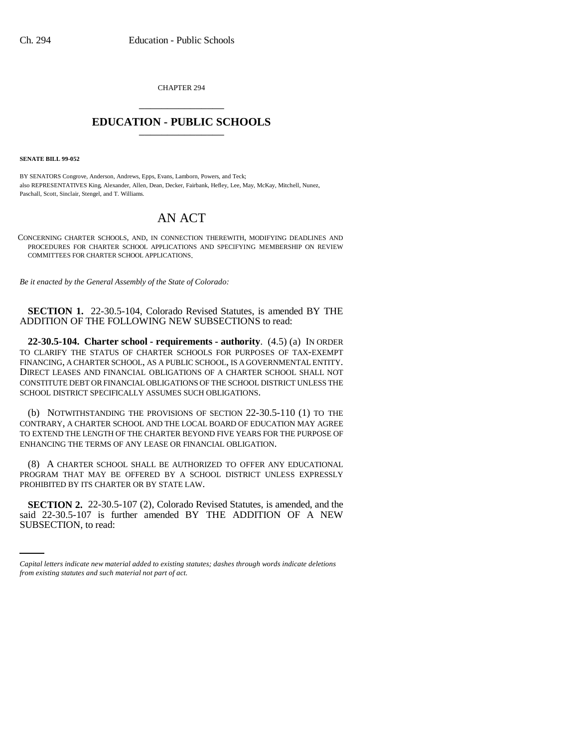CHAPTER 294 \_\_\_\_\_\_\_\_\_\_\_\_\_\_\_

## **EDUCATION - PUBLIC SCHOOLS** \_\_\_\_\_\_\_\_\_\_\_\_\_\_\_

**SENATE BILL 99-052**

BY SENATORS Congrove, Anderson, Andrews, Epps, Evans, Lamborn, Powers, and Teck; also REPRESENTATIVES King, Alexander, Allen, Dean, Decker, Fairbank, Hefley, Lee, May, McKay, Mitchell, Nunez, Paschall, Scott, Sinclair, Stengel, and T. Williams.

## AN ACT

CONCERNING CHARTER SCHOOLS, AND, IN CONNECTION THEREWITH, MODIFYING DEADLINES AND PROCEDURES FOR CHARTER SCHOOL APPLICATIONS AND SPECIFYING MEMBERSHIP ON REVIEW COMMITTEES FOR CHARTER SCHOOL APPLICATIONS.

*Be it enacted by the General Assembly of the State of Colorado:*

**SECTION 1.** 22-30.5-104, Colorado Revised Statutes, is amended BY THE ADDITION OF THE FOLLOWING NEW SUBSECTIONS to read:

**22-30.5-104. Charter school - requirements - authority**. (4.5) (a) IN ORDER TO CLARIFY THE STATUS OF CHARTER SCHOOLS FOR PURPOSES OF TAX-EXEMPT FINANCING, A CHARTER SCHOOL, AS A PUBLIC SCHOOL, IS A GOVERNMENTAL ENTITY. DIRECT LEASES AND FINANCIAL OBLIGATIONS OF A CHARTER SCHOOL SHALL NOT CONSTITUTE DEBT OR FINANCIAL OBLIGATIONS OF THE SCHOOL DISTRICT UNLESS THE SCHOOL DISTRICT SPECIFICALLY ASSUMES SUCH OBLIGATIONS.

(b) NOTWITHSTANDING THE PROVISIONS OF SECTION 22-30.5-110 (1) TO THE CONTRARY, A CHARTER SCHOOL AND THE LOCAL BOARD OF EDUCATION MAY AGREE TO EXTEND THE LENGTH OF THE CHARTER BEYOND FIVE YEARS FOR THE PURPOSE OF ENHANCING THE TERMS OF ANY LEASE OR FINANCIAL OBLIGATION.

(8) A CHARTER SCHOOL SHALL BE AUTHORIZED TO OFFER ANY EDUCATIONAL PROGRAM THAT MAY BE OFFERED BY A SCHOOL DISTRICT UNLESS EXPRESSLY PROHIBITED BY ITS CHARTER OR BY STATE LAW.

 **SECTION 2.** 22-30.5-107 (2), Colorado Revised Statutes, is amended, and the said 22-30.5-107 is further amended BY THE ADDITION OF A NEW SUBSECTION, to read:

*Capital letters indicate new material added to existing statutes; dashes through words indicate deletions from existing statutes and such material not part of act.*